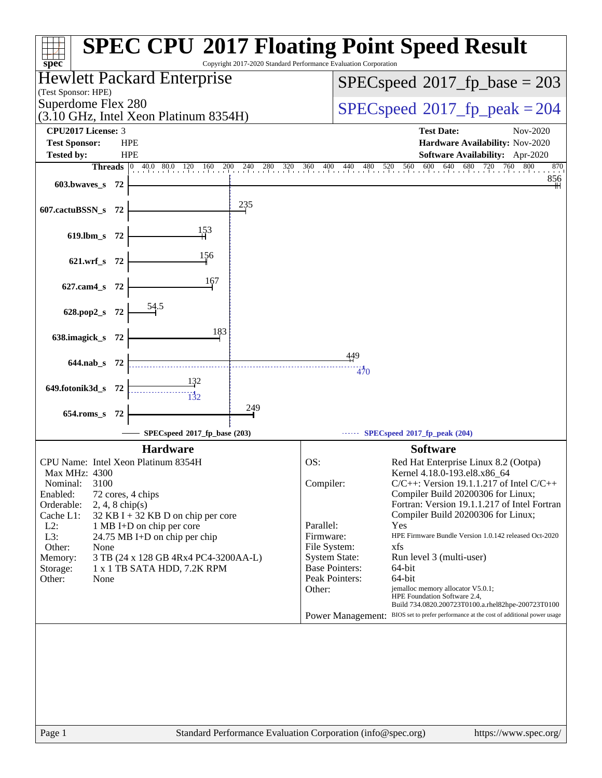| $spec^*$                                                                                    | <b>SPEC CPU®2017 Floating Point Speed Result</b><br>Copyright 2017-2020 Standard Performance Evaluation Corporation |
|---------------------------------------------------------------------------------------------|---------------------------------------------------------------------------------------------------------------------|
| Hewlett Packard Enterprise                                                                  | $SPEC speed^{\circ}2017\_fp\_base = 203$                                                                            |
| (Test Sponsor: HPE)<br>Superdome Flex 280                                                   | $SPEC speed^{\circ}2017$ fp peak = 204                                                                              |
| $(3.10 \text{ GHz}, \text{Intel Xeon Platinum } 8354\text{H})$<br><b>CPU2017 License: 3</b> | <b>Test Date:</b><br>Nov-2020                                                                                       |
| <b>Test Sponsor:</b><br><b>HPE</b><br><b>HPE</b><br><b>Tested by:</b>                       | Hardware Availability: Nov-2020<br><b>Software Availability:</b> Apr-2020                                           |
| <b>Threads</b><br>$ 0\rangle$                                                               | 40.0 80.0 120 160 200 240 280 320 360 400 440 480 520 560 600 640 680 720 760<br>800<br>870                         |
| 603.bwaves s 72                                                                             | 856                                                                                                                 |
| 235<br>607.cactuBSSN_s 72                                                                   |                                                                                                                     |
| 153<br>619.lbm_s<br>- 72                                                                    |                                                                                                                     |
| 156<br>621.wrf_s 72                                                                         |                                                                                                                     |
| 167<br>627.cam4_s 72                                                                        |                                                                                                                     |
| 628.pop2_s 72                                                                               |                                                                                                                     |
| 183<br>638.imagick_s 72                                                                     |                                                                                                                     |
|                                                                                             | 449                                                                                                                 |
| 644.nab s 72                                                                                | 470                                                                                                                 |
| 649.fotonik3d_s<br>- 72                                                                     |                                                                                                                     |
| 249<br>$654$ .roms_s<br>- 72                                                                |                                                                                                                     |
| SPECspeed®2017_fp_base (203)                                                                | SPECspeed®2017_fp_peak (204)                                                                                        |
| <b>Hardware</b>                                                                             | <b>Software</b>                                                                                                     |
| CPU Name: Intel Xeon Platinum 8354H<br>Max MHz: 4300                                        | OS:<br>Red Hat Enterprise Linux 8.2 (Ootpa)<br>Kernel 4.18.0-193.el8.x86_64                                         |
| 3100<br>Nominal:<br>Enabled:<br>72 cores, 4 chips                                           | $C/C++$ : Version 19.1.1.217 of Intel $C/C++$<br>Compiler:<br>Compiler Build 20200306 for Linux;                    |
| Orderable:<br>$2, 4, 8$ chip(s)<br>Cache L1:<br>32 KB I + 32 KB D on chip per core          | Fortran: Version 19.1.1.217 of Intel Fortran<br>Compiler Build 20200306 for Linux;                                  |
| $L2$ :<br>1 MB I+D on chip per core                                                         | Parallel:<br>Yes                                                                                                    |
| L3:<br>24.75 MB I+D on chip per chip<br>Other:<br>None                                      | Firmware:<br>HPE Firmware Bundle Version 1.0.142 released Oct-2020<br>File System:<br>xfs                           |
| 3 TB (24 x 128 GB 4Rx4 PC4-3200AA-L)<br>Memory:                                             | <b>System State:</b><br>Run level 3 (multi-user)                                                                    |
| Storage:<br>1 x 1 TB SATA HDD, 7.2K RPM                                                     | <b>Base Pointers:</b><br>64-bit                                                                                     |
| Other:<br>None                                                                              | 64-bit<br>Peak Pointers:<br>jemalloc memory allocator V5.0.1;<br>Other:                                             |
|                                                                                             | HPE Foundation Software 2.4,<br>Build 734.0820.200723T0100.a.rhel82hpe-200723T0100                                  |
|                                                                                             | Power Management: BIOS set to prefer performance at the cost of additional power usage                              |
|                                                                                             |                                                                                                                     |
|                                                                                             |                                                                                                                     |
|                                                                                             |                                                                                                                     |
|                                                                                             |                                                                                                                     |
| Page 1                                                                                      | Standard Performance Evaluation Corporation (info@spec.org)<br>https://www.spec.org/                                |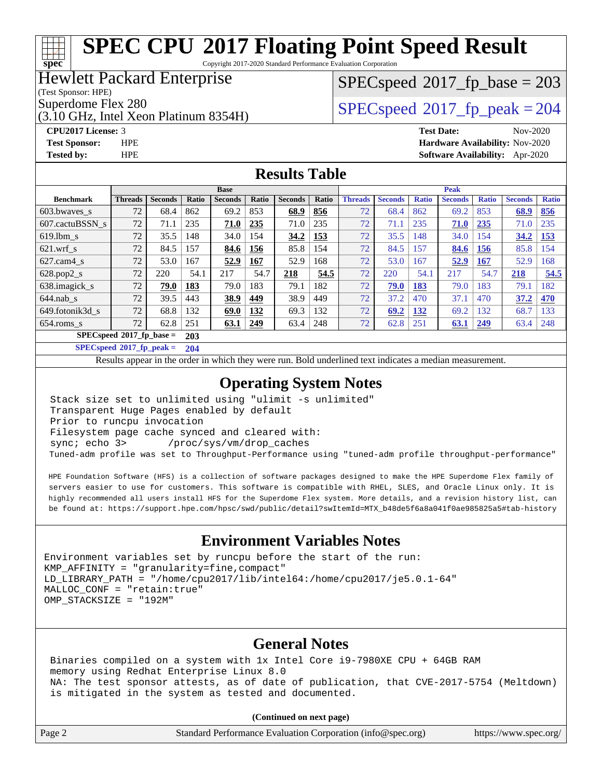Copyright 2017-2020 Standard Performance Evaluation Corporation

#### Hewlett Packard Enterprise

(Test Sponsor: HPE)

**[spec](http://www.spec.org/)**

(3.10 GHz, Intel Xeon Platinum 8354H)

#### [SPECspeed](http://www.spec.org/auto/cpu2017/Docs/result-fields.html#SPECspeed2017fpbase)<sup>®</sup>2017 fp base = 203

Superdome Flex 280<br>  $SPEC speed^{\circ}2017$  fp\_peak = 204

**[CPU2017 License:](http://www.spec.org/auto/cpu2017/Docs/result-fields.html#CPU2017License)** 3 **[Test Date:](http://www.spec.org/auto/cpu2017/Docs/result-fields.html#TestDate)** Nov-2020 **[Test Sponsor:](http://www.spec.org/auto/cpu2017/Docs/result-fields.html#TestSponsor)** HPE **[Hardware Availability:](http://www.spec.org/auto/cpu2017/Docs/result-fields.html#HardwareAvailability)** Nov-2020 **[Tested by:](http://www.spec.org/auto/cpu2017/Docs/result-fields.html#Testedby)** HPE **[Software Availability:](http://www.spec.org/auto/cpu2017/Docs/result-fields.html#SoftwareAvailability)** Apr-2020

#### **[Results Table](http://www.spec.org/auto/cpu2017/Docs/result-fields.html#ResultsTable)**

|                          | <b>Base</b>    |                |              |                | <b>Peak</b> |                |       |                |                |              |                |              |                |              |
|--------------------------|----------------|----------------|--------------|----------------|-------------|----------------|-------|----------------|----------------|--------------|----------------|--------------|----------------|--------------|
| <b>Benchmark</b>         | <b>Threads</b> | <b>Seconds</b> | <b>Ratio</b> | <b>Seconds</b> | Ratio       | <b>Seconds</b> | Ratio | <b>Threads</b> | <b>Seconds</b> | <b>Ratio</b> | <b>Seconds</b> | <b>Ratio</b> | <b>Seconds</b> | <b>Ratio</b> |
| 603.bwaves_s             | 72             | 68.4           | 862          | 69.2           | 853         | 68.9           | 856   | 72             | 68.4           | 862          | 69.2           | 853          | 68.9           | 856          |
| 607.cactuBSSN s          | 72             | 71.1           | 235          | <b>71.0</b>    | 235         | 71.0           | 235   | 72             | 71.1           | 235          | 71.0           | 235          | 71.0           | 235          |
| $619.1$ bm s             | 72             | 35.5           | 148          | 34.0           | 154         | 34.2           | 153   | 72             | 35.5           | 148          | 34.0           | 154          | 34.2           | <b>153</b>   |
| $621$ .wrf s             | 72             | 84.5           | 157          | 84.6           | 156         | 85.8           | l 54  | 72             | 84.5           | 157          | 84.6           | 156          | 85.8           | 154          |
| $627$ .cam4 s            | 72             | 53.0           | 167          | 52.9           | 167         | 52.9           | 168   | 72             | 53.0           | 167          | 52.9           | 167          | 52.9           | 168          |
| $628.pop2_s$             | 72             | 220            | 54.1         | 217            | 54.7        | 218            | 54.5  | 72             | 220            | 54.1         | 217            | 54.7         | 218            | 54.5         |
| 638.imagick_s            | 72             | 79.0           | 183          | 79.0           | 183         | 79.1           | 182   | 72             | 79.0           | 183          | 79.0           | 183          | 79.1           | 182          |
| $644$ .nab s             | 72             | 39.5           | 443          | 38.9           | 449         | 38.9           | 449   | 72             | 37.2           | 470          | 37.1           | 470          | 37.2           | 470          |
| 649.fotonik3d s          | 72             | 68.8           | 132          | 69.0           | 132         | 69.3           | 132   | 72             | 69.2           | 132          | 69.2           | 132          | 68.7           | 133          |
| $654$ .roms_s            | 72             | 62.8           | 251          | 63.1           | 249         | 63.4           | 248   | 72             | 62.8           | 251          | 63.1           | 249          | 63.4           | 248          |
| SPECspeed®2017_fp_base = |                |                | 203          |                |             |                |       |                |                |              |                |              |                |              |

**[SPECspeed](http://www.spec.org/auto/cpu2017/Docs/result-fields.html#SPECspeed2017fppeak)[2017\\_fp\\_peak =](http://www.spec.org/auto/cpu2017/Docs/result-fields.html#SPECspeed2017fppeak) 204**

Results appear in the [order in which they were run.](http://www.spec.org/auto/cpu2017/Docs/result-fields.html#RunOrder) Bold underlined text [indicates a median measurement](http://www.spec.org/auto/cpu2017/Docs/result-fields.html#Median).

#### **[Operating System Notes](http://www.spec.org/auto/cpu2017/Docs/result-fields.html#OperatingSystemNotes)**

 Stack size set to unlimited using "ulimit -s unlimited" Transparent Huge Pages enabled by default Prior to runcpu invocation Filesystem page cache synced and cleared with: sync; echo 3> /proc/sys/vm/drop\_caches Tuned-adm profile was set to Throughput-Performance using "tuned-adm profile throughput-performance"

 HPE Foundation Software (HFS) is a collection of software packages designed to make the HPE Superdome Flex family of servers easier to use for customers. This software is compatible with RHEL, SLES, and Oracle Linux only. It is highly recommended all users install HFS for the Superdome Flex system. More details, and a revision history list, can be found at: [https://support.hpe.com/hpsc/swd/public/detail?swItemId=MTX\\_b48de5f6a8a041f0ae985825a5#tab-history](https://support.hpe.com/hpsc/swd/public/detail?swItemId=MTX_b48de5f6a8a041f0ae985825a5#tab-history)

#### **[Environment Variables Notes](http://www.spec.org/auto/cpu2017/Docs/result-fields.html#EnvironmentVariablesNotes)**

Environment variables set by runcpu before the start of the run: KMP\_AFFINITY = "granularity=fine,compact" LD\_LIBRARY\_PATH = "/home/cpu2017/lib/intel64:/home/cpu2017/je5.0.1-64" MALLOC\_CONF = "retain:true" OMP\_STACKSIZE = "192M"

#### **[General Notes](http://www.spec.org/auto/cpu2017/Docs/result-fields.html#GeneralNotes)**

 Binaries compiled on a system with 1x Intel Core i9-7980XE CPU + 64GB RAM memory using Redhat Enterprise Linux 8.0 NA: The test sponsor attests, as of date of publication, that CVE-2017-5754 (Meltdown) is mitigated in the system as tested and documented.

**(Continued on next page)**

| Page 2 | Standard Performance Evaluation Corporation (info@spec.org) | https://www.spec.org/ |
|--------|-------------------------------------------------------------|-----------------------|
|--------|-------------------------------------------------------------|-----------------------|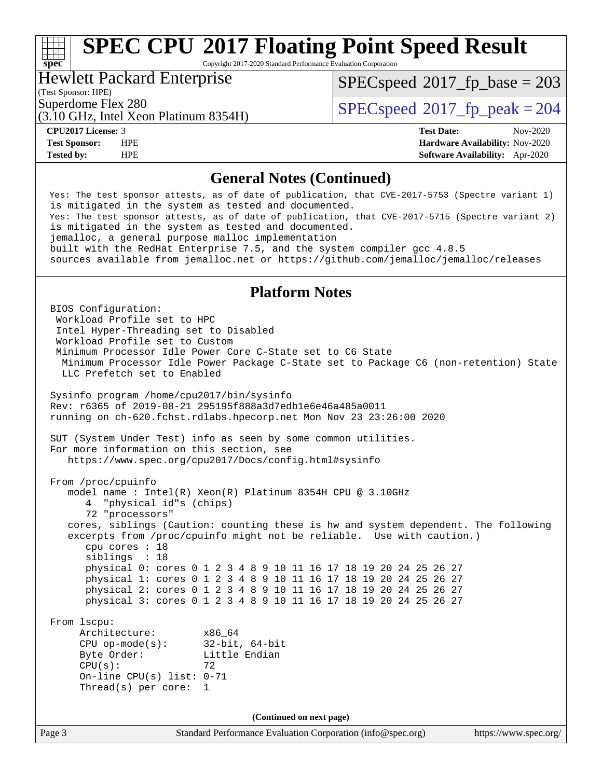Copyright 2017-2020 Standard Performance Evaluation Corporation

#### Hewlett Packard Enterprise

[SPECspeed](http://www.spec.org/auto/cpu2017/Docs/result-fields.html#SPECspeed2017fpbase)<sup>®</sup>2017 fp base = 203

(Test Sponsor: HPE)

**[spec](http://www.spec.org/)**

(3.10 GHz, Intel Xeon Platinum 8354H)

Superdome Flex 280<br>  $SPEC speed^{\circ}2017$  fp\_peak = 204

**[CPU2017 License:](http://www.spec.org/auto/cpu2017/Docs/result-fields.html#CPU2017License)** 3 **[Test Date:](http://www.spec.org/auto/cpu2017/Docs/result-fields.html#TestDate)** Nov-2020 **[Test Sponsor:](http://www.spec.org/auto/cpu2017/Docs/result-fields.html#TestSponsor)** HPE **[Hardware Availability:](http://www.spec.org/auto/cpu2017/Docs/result-fields.html#HardwareAvailability)** Nov-2020 **[Tested by:](http://www.spec.org/auto/cpu2017/Docs/result-fields.html#Testedby)** HPE **[Software Availability:](http://www.spec.org/auto/cpu2017/Docs/result-fields.html#SoftwareAvailability)** Apr-2020

#### **[General Notes \(Continued\)](http://www.spec.org/auto/cpu2017/Docs/result-fields.html#GeneralNotes)**

 Yes: The test sponsor attests, as of date of publication, that CVE-2017-5753 (Spectre variant 1) is mitigated in the system as tested and documented. Yes: The test sponsor attests, as of date of publication, that CVE-2017-5715 (Spectre variant 2) is mitigated in the system as tested and documented. jemalloc, a general purpose malloc implementation built with the RedHat Enterprise 7.5, and the system compiler gcc 4.8.5 sources available from jemalloc.net or<https://github.com/jemalloc/jemalloc/releases> **[Platform Notes](http://www.spec.org/auto/cpu2017/Docs/result-fields.html#PlatformNotes)** BIOS Configuration: Workload Profile set to HPC Intel Hyper-Threading set to Disabled Workload Profile set to Custom Minimum Processor Idle Power Core C-State set to C6 State Minimum Processor Idle Power Package C-State set to Package C6 (non-retention) State LLC Prefetch set to Enabled Sysinfo program /home/cpu2017/bin/sysinfo Rev: r6365 of 2019-08-21 295195f888a3d7edb1e6e46a485a0011 running on ch-620.fchst.rdlabs.hpecorp.net Mon Nov 23 23:26:00 2020 SUT (System Under Test) info as seen by some common utilities. For more information on this section, see <https://www.spec.org/cpu2017/Docs/config.html#sysinfo> From /proc/cpuinfo model name : Intel(R) Xeon(R) Platinum 8354H CPU @ 3.10GHz 4 "physical id"s (chips) 72 "processors" cores, siblings (Caution: counting these is hw and system dependent. The following excerpts from /proc/cpuinfo might not be reliable. Use with caution.) cpu cores : 18 siblings : 18 physical 0: cores 0 1 2 3 4 8 9 10 11 16 17 18 19 20 24 25 26 27 physical 1: cores 0 1 2 3 4 8 9 10 11 16 17 18 19 20 24 25 26 27 physical 2: cores 0 1 2 3 4 8 9 10 11 16 17 18 19 20 24 25 26 27 physical 3: cores 0 1 2 3 4 8 9 10 11 16 17 18 19 20 24 25 26 27 From lscpu: Architecture: x86\_64 CPU op-mode(s): 32-bit, 64-bit Byte Order: Little Endian  $CPU(s):$  72 On-line CPU(s) list: 0-71 Thread(s) per core: 1 **(Continued on next page)**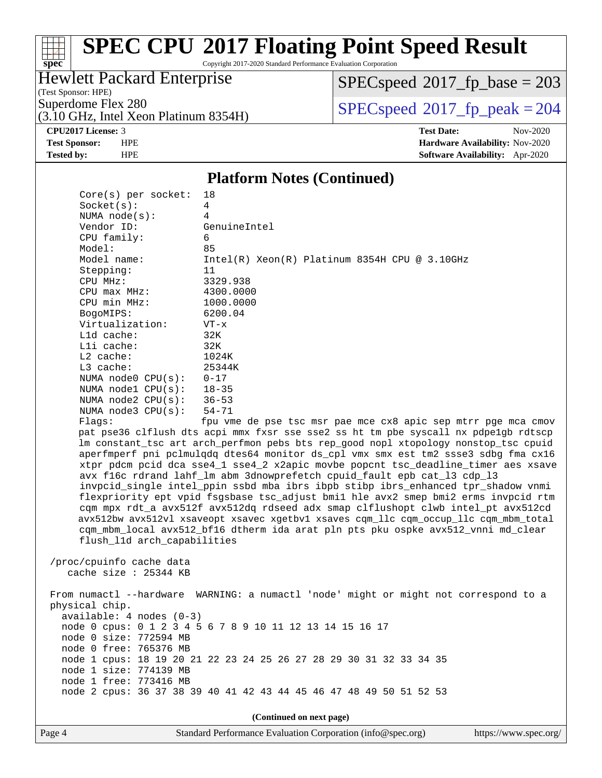# **[spec](http://www.spec.org/)**

### **[SPEC CPU](http://www.spec.org/auto/cpu2017/Docs/result-fields.html#SPECCPU2017FloatingPointSpeedResult)[2017 Floating Point Speed Result](http://www.spec.org/auto/cpu2017/Docs/result-fields.html#SPECCPU2017FloatingPointSpeedResult)**

Copyright 2017-2020 Standard Performance Evaluation Corporation

#### Hewlett Packard Enterprise

(Test Sponsor: HPE)

 $SPECspeed*2017_fp\_base = 203$  $SPECspeed*2017_fp\_base = 203$ 

(3.10 GHz, Intel Xeon Platinum 8354H)

Superdome Flex 280<br>  $\begin{array}{c}\n\text{SPEC speed} \textdegree 2017\_fp\_peak = 204 \\
\text{SPEC speed} \textdegree 2017\_fp\_peak = 204\n\end{array}$ 

**[CPU2017 License:](http://www.spec.org/auto/cpu2017/Docs/result-fields.html#CPU2017License)** 3 **[Test Date:](http://www.spec.org/auto/cpu2017/Docs/result-fields.html#TestDate)** Nov-2020 **[Test Sponsor:](http://www.spec.org/auto/cpu2017/Docs/result-fields.html#TestSponsor)** HPE **[Hardware Availability:](http://www.spec.org/auto/cpu2017/Docs/result-fields.html#HardwareAvailability)** Nov-2020 **[Tested by:](http://www.spec.org/auto/cpu2017/Docs/result-fields.html#Testedby)** HPE **[Software Availability:](http://www.spec.org/auto/cpu2017/Docs/result-fields.html#SoftwareAvailability)** Apr-2020

#### **[Platform Notes \(Continued\)](http://www.spec.org/auto/cpu2017/Docs/result-fields.html#PlatformNotes)**

| $Core(s)$ per socket:       | 18                                                                                   |  |  |  |  |
|-----------------------------|--------------------------------------------------------------------------------------|--|--|--|--|
| Socket(s):                  | 4                                                                                    |  |  |  |  |
| NUMA $node(s)$ :            | 4                                                                                    |  |  |  |  |
| Vendor ID:                  | GenuineIntel                                                                         |  |  |  |  |
| CPU family:                 | 6                                                                                    |  |  |  |  |
| Model:                      | 85                                                                                   |  |  |  |  |
| Model name:                 | $Intel(R) Xeon(R) Platinum 8354H CPU @ 3.10GHz$                                      |  |  |  |  |
| Stepping:                   | 11                                                                                   |  |  |  |  |
| CPU MHz:                    | 3329.938                                                                             |  |  |  |  |
| $CPU$ max $MHz$ :           | 4300.0000                                                                            |  |  |  |  |
| CPU min MHz:                | 1000.0000                                                                            |  |  |  |  |
| BogoMIPS:                   | 6200.04                                                                              |  |  |  |  |
| Virtualization:             | $VT - x$                                                                             |  |  |  |  |
| $L1d$ cache:                | 32K                                                                                  |  |  |  |  |
| Lli cache:                  | 32K                                                                                  |  |  |  |  |
| $L2$ cache:                 | 1024K                                                                                |  |  |  |  |
| $L3$ cache:                 | 25344K                                                                               |  |  |  |  |
| NUMA $node0$ $CPU(s):$      | $0 - 17$                                                                             |  |  |  |  |
| NUMA nodel CPU(s): 18-35    |                                                                                      |  |  |  |  |
| NUMA node2 $CPU(s):$ 36-53  |                                                                                      |  |  |  |  |
| NUMA node3 CPU(s):          | $54 - 71$                                                                            |  |  |  |  |
| Flags:                      | fpu vme de pse tsc msr pae mce cx8 apic sep mtrr pge mca cmov                        |  |  |  |  |
|                             | pat pse36 clflush dts acpi mmx fxsr sse sse2 ss ht tm pbe syscall nx pdpelgb rdtscp  |  |  |  |  |
|                             | lm constant_tsc art arch_perfmon pebs bts rep_good nopl xtopology nonstop_tsc cpuid  |  |  |  |  |
|                             | aperfmperf pni pclmulqdq dtes64 monitor ds_cpl vmx smx est tm2 ssse3 sdbg fma cx16   |  |  |  |  |
|                             | xtpr pdcm pcid dca sse4_1 sse4_2 x2apic movbe popcnt tsc_deadline_timer aes xsave    |  |  |  |  |
|                             | avx f16c rdrand lahf_lm abm 3dnowprefetch cpuid_fault epb cat_13 cdp_13              |  |  |  |  |
|                             | invpcid_single intel_ppin ssbd mba ibrs ibpb stibp ibrs_enhanced tpr_shadow vnmi     |  |  |  |  |
|                             | flexpriority ept vpid fsgsbase tsc_adjust bmil hle avx2 smep bmi2 erms invpcid rtm   |  |  |  |  |
|                             | cqm mpx rdt_a avx512f avx512dq rdseed adx smap clflushopt clwb intel_pt avx512cd     |  |  |  |  |
|                             | avx512bw avx512vl xsaveopt xsavec xgetbvl xsaves cqm_llc cqm_occup_llc cqm_mbm_total |  |  |  |  |
|                             | cqm_mbm_local avx512_bf16 dtherm ida arat pln pts pku ospke avx512_vnni md_clear     |  |  |  |  |
| flush_l1d arch_capabilities |                                                                                      |  |  |  |  |
|                             |                                                                                      |  |  |  |  |
| /proc/cpuinfo cache data    |                                                                                      |  |  |  |  |
| cache size $: 25344$ KB     |                                                                                      |  |  |  |  |
|                             |                                                                                      |  |  |  |  |
|                             | From numactl --hardware WARNING: a numactl 'node' might or might not correspond to a |  |  |  |  |
| physical chip.              |                                                                                      |  |  |  |  |
| $available: 4 nodes (0-3)$  |                                                                                      |  |  |  |  |
|                             | node 0 cpus: 0 1 2 3 4 5 6 7 8 9 10 11 12 13 14 15 16 17                             |  |  |  |  |
| node 0 size: 772594 MB      |                                                                                      |  |  |  |  |
| node 0 free: 765376 MB      |                                                                                      |  |  |  |  |
|                             | node 1 cpus: 18 19 20 21 22 23 24 25 26 27 28 29 30 31 32 33 34 35                   |  |  |  |  |
| node 1 size: 774139 MB      |                                                                                      |  |  |  |  |
| node 1 free: 773416 MB      |                                                                                      |  |  |  |  |
|                             | node 2 cpus: 36 37 38 39 40 41 42 43 44 45 46 47 48 49 50 51 52 53                   |  |  |  |  |
|                             |                                                                                      |  |  |  |  |
| (Continued on next page)    |                                                                                      |  |  |  |  |

Page 4 Standard Performance Evaluation Corporation [\(info@spec.org\)](mailto:info@spec.org) <https://www.spec.org/>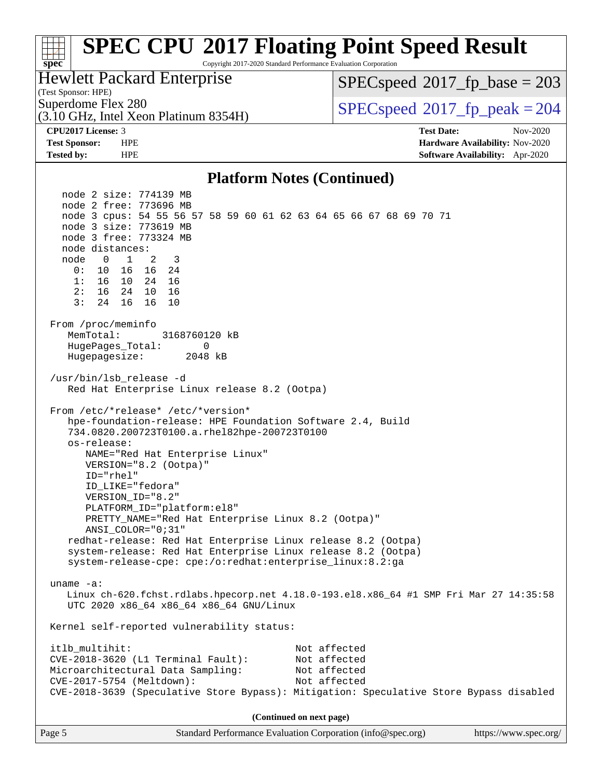#### **[spec](http://www.spec.org/) [SPEC CPU](http://www.spec.org/auto/cpu2017/Docs/result-fields.html#SPECCPU2017FloatingPointSpeedResult)[2017 Floating Point Speed Result](http://www.spec.org/auto/cpu2017/Docs/result-fields.html#SPECCPU2017FloatingPointSpeedResult)** Copyright 2017-2020 Standard Performance Evaluation Corporation (Test Sponsor: HPE) Hewlett Packard Enterprise (3.10 GHz, Intel Xeon Platinum 8354H) Superdome Flex 280<br>  $SPECspeed^{\circ}2017$  $SPECspeed^{\circ}2017$  fp\_peak = 204 [SPECspeed](http://www.spec.org/auto/cpu2017/Docs/result-fields.html#SPECspeed2017fpbase)<sup>®</sup>2017 fp base = 203 **[CPU2017 License:](http://www.spec.org/auto/cpu2017/Docs/result-fields.html#CPU2017License)** 3 **[Test Date:](http://www.spec.org/auto/cpu2017/Docs/result-fields.html#TestDate)** Nov-2020 **[Test Sponsor:](http://www.spec.org/auto/cpu2017/Docs/result-fields.html#TestSponsor)** HPE **[Hardware Availability:](http://www.spec.org/auto/cpu2017/Docs/result-fields.html#HardwareAvailability)** Nov-2020 **[Tested by:](http://www.spec.org/auto/cpu2017/Docs/result-fields.html#Testedby)** HPE **[Software Availability:](http://www.spec.org/auto/cpu2017/Docs/result-fields.html#SoftwareAvailability)** Apr-2020 **[Platform Notes \(Continued\)](http://www.spec.org/auto/cpu2017/Docs/result-fields.html#PlatformNotes)** node 2 size: 774139 MB node 2 free: 773696 MB node 3 cpus: 54 55 56 57 58 59 60 61 62 63 64 65 66 67 68 69 70 71 node 3 size: 773619 MB node 3 free: 773324 MB node distances: node 0 1 2 3 0: 10 16 16 24 1: 16 10 24 16 2: 16 24 10 16 3: 24 16 16 10 From /proc/meminfo MemTotal: 3168760120 kB HugePages\_Total: 0 Hugepagesize: 2048 kB /usr/bin/lsb\_release -d Red Hat Enterprise Linux release 8.2 (Ootpa) From /etc/\*release\* /etc/\*version\* hpe-foundation-release: HPE Foundation Software 2.4, Build 734.0820.200723T0100.a.rhel82hpe-200723T0100 os-release: NAME="Red Hat Enterprise Linux" VERSION="8.2 (Ootpa)" ID="rhel" ID\_LIKE="fedora" VERSION\_ID="8.2" PLATFORM\_ID="platform:el8" PRETTY\_NAME="Red Hat Enterprise Linux 8.2 (Ootpa)" ANSI\_COLOR="0;31" redhat-release: Red Hat Enterprise Linux release 8.2 (Ootpa) system-release: Red Hat Enterprise Linux release 8.2 (Ootpa) system-release-cpe: cpe:/o:redhat:enterprise\_linux:8.2:ga uname -a: Linux ch-620.fchst.rdlabs.hpecorp.net 4.18.0-193.el8.x86\_64 #1 SMP Fri Mar 27 14:35:58 UTC 2020 x86\_64 x86\_64 x86\_64 GNU/Linux Kernel self-reported vulnerability status: itlb\_multihit: Not affected CVE-2018-3620 (L1 Terminal Fault): Not affected Microarchitectural Data Sampling: Not affected CVE-2017-5754 (Meltdown): Not affected CVE-2018-3639 (Speculative Store Bypass): Mitigation: Speculative Store Bypass disabled **(Continued on next page)**

Page 5 Standard Performance Evaluation Corporation [\(info@spec.org\)](mailto:info@spec.org) <https://www.spec.org/>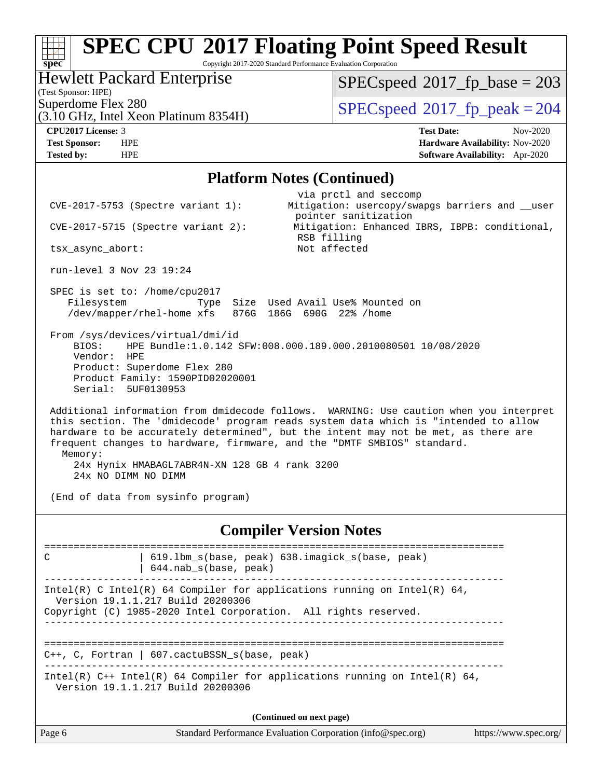Copyright 2017-2020 Standard Performance Evaluation Corporation

#### Hewlett Packard Enterprise

(Test Sponsor: HPE)

 $SPEC speed$ <sup>®</sup> $2017$ \_fp\_base = 203

(3.10 GHz, Intel Xeon Platinum 8354H)

 $SPEC speed$ <sup>®</sup> $2017$ \_fp\_peak = 204

**[spec](http://www.spec.org/)**

**[CPU2017 License:](http://www.spec.org/auto/cpu2017/Docs/result-fields.html#CPU2017License)** 3 **[Test Date:](http://www.spec.org/auto/cpu2017/Docs/result-fields.html#TestDate)** Nov-2020 **[Test Sponsor:](http://www.spec.org/auto/cpu2017/Docs/result-fields.html#TestSponsor)** HPE **[Hardware Availability:](http://www.spec.org/auto/cpu2017/Docs/result-fields.html#HardwareAvailability)** Nov-2020 **[Tested by:](http://www.spec.org/auto/cpu2017/Docs/result-fields.html#Testedby)** HPE **[Software Availability:](http://www.spec.org/auto/cpu2017/Docs/result-fields.html#SoftwareAvailability)** Apr-2020

#### **[Platform Notes \(Continued\)](http://www.spec.org/auto/cpu2017/Docs/result-fields.html#PlatformNotes)**

| Page 6                                                                            |                                                                                     | Standard Performance Evaluation Corporation (info@spec.org)                                                                                                                                                                                                                                                                                    | https://www.spec.org/ |
|-----------------------------------------------------------------------------------|-------------------------------------------------------------------------------------|------------------------------------------------------------------------------------------------------------------------------------------------------------------------------------------------------------------------------------------------------------------------------------------------------------------------------------------------|-----------------------|
|                                                                                   |                                                                                     | (Continued on next page)                                                                                                                                                                                                                                                                                                                       |                       |
|                                                                                   | Version 19.1.1.217 Build 20200306                                                   | Intel(R) $C++$ Intel(R) 64 Compiler for applications running on Intel(R) 64,                                                                                                                                                                                                                                                                   |                       |
|                                                                                   | C++, C, Fortran   607. cactuBSSN_s(base, peak)                                      |                                                                                                                                                                                                                                                                                                                                                |                       |
|                                                                                   | Version 19.1.1.217 Build 20200306                                                   | Intel(R) C Intel(R) 64 Compiler for applications running on Intel(R) 64,<br>Copyright (C) 1985-2020 Intel Corporation. All rights reserved.                                                                                                                                                                                                    |                       |
| C                                                                                 | $644.nab_s(base, peak)$                                                             | =======================<br>619.1bm_s(base, peak) 638.imagick_s(base, peak)                                                                                                                                                                                                                                                                     |                       |
|                                                                                   |                                                                                     | <b>Compiler Version Notes</b>                                                                                                                                                                                                                                                                                                                  |                       |
| 24x NO DIMM NO DIMM                                                               | 24x Hynix HMABAGL7ABR4N-XN 128 GB 4 rank 3200<br>(End of data from sysinfo program) |                                                                                                                                                                                                                                                                                                                                                |                       |
| Memory:                                                                           |                                                                                     | Additional information from dmidecode follows. WARNING: Use caution when you interpret<br>this section. The 'dmidecode' program reads system data which is "intended to allow<br>hardware to be accurately determined", but the intent may not be met, as there are<br>frequent changes to hardware, firmware, and the "DMTF SMBIOS" standard. |                       |
| From /sys/devices/virtual/dmi/id<br>BIOS:<br>Vendor:<br>HPE<br>Serial: 5UF0130953 | Product: Superdome Flex 280<br>Product Family: 1590PID02020001                      | HPE Bundle:1.0.142 SFW:008.000.189.000.2010080501 10/08/2020                                                                                                                                                                                                                                                                                   |                       |
| SPEC is set to: /home/cpu2017<br>Filesystem                                       |                                                                                     | Type Size Used Avail Use% Mounted on<br>/dev/mapper/rhel-home xfs 876G 186G 690G 22% /home                                                                                                                                                                                                                                                     |                       |
| run-level 3 Nov 23 19:24                                                          |                                                                                     |                                                                                                                                                                                                                                                                                                                                                |                       |
| tsx_async_abort:                                                                  |                                                                                     | RSB filling<br>Not affected                                                                                                                                                                                                                                                                                                                    |                       |
|                                                                                   | $CVE-2017-5715$ (Spectre variant 2):                                                | pointer sanitization<br>Mitigation: Enhanced IBRS, IBPB: conditional,                                                                                                                                                                                                                                                                          |                       |
| $CVE-2017-5753$ (Spectre variant 1):                                              |                                                                                     | via prctl and seccomp<br>Mitigation: usercopy/swapgs barriers and __user                                                                                                                                                                                                                                                                       |                       |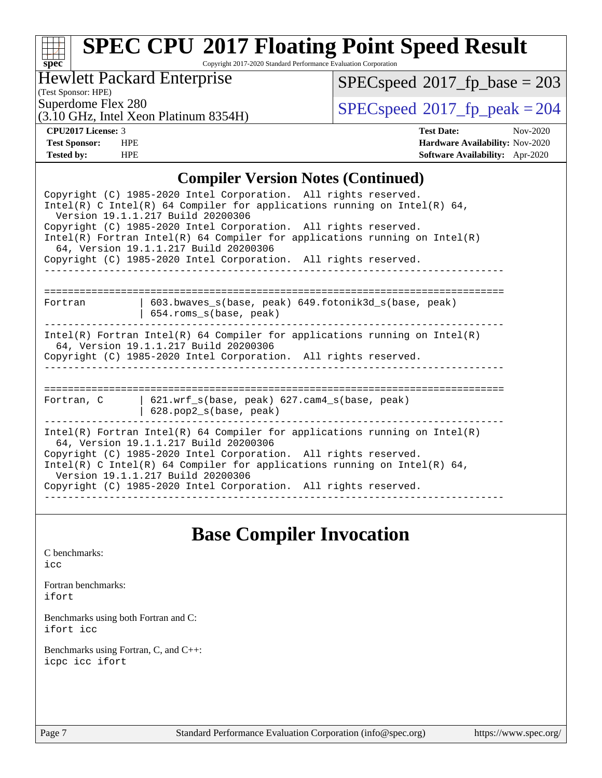# **[spec](http://www.spec.org/)**

### **[SPEC CPU](http://www.spec.org/auto/cpu2017/Docs/result-fields.html#SPECCPU2017FloatingPointSpeedResult)[2017 Floating Point Speed Result](http://www.spec.org/auto/cpu2017/Docs/result-fields.html#SPECCPU2017FloatingPointSpeedResult)**

Copyright 2017-2020 Standard Performance Evaluation Corporation

#### Hewlett Packard Enterprise

 $SPECspeed^{\circledcirc}2017_fp\_base = 203$  $SPECspeed^{\circledcirc}2017_fp\_base = 203$ 

(Test Sponsor: HPE)

(3.10 GHz, Intel Xeon Platinum 8354H)

Superdome Flex 280<br>(3.10 GHz, Intel Year Platinum 8354H)  $SPECspeed@2017_fp\_peak = 204$  $SPECspeed@2017_fp\_peak = 204$ 

**[CPU2017 License:](http://www.spec.org/auto/cpu2017/Docs/result-fields.html#CPU2017License)** 3 **[Test Date:](http://www.spec.org/auto/cpu2017/Docs/result-fields.html#TestDate)** Nov-2020 **[Test Sponsor:](http://www.spec.org/auto/cpu2017/Docs/result-fields.html#TestSponsor)** HPE **[Hardware Availability:](http://www.spec.org/auto/cpu2017/Docs/result-fields.html#HardwareAvailability)** Nov-2020 **[Tested by:](http://www.spec.org/auto/cpu2017/Docs/result-fields.html#Testedby)** HPE **[Software Availability:](http://www.spec.org/auto/cpu2017/Docs/result-fields.html#SoftwareAvailability)** Apr-2020

#### **[Compiler Version Notes \(Continued\)](http://www.spec.org/auto/cpu2017/Docs/result-fields.html#CompilerVersionNotes)**

| Copyright (C) 1985-2020 Intel Corporation. All rights reserved.<br>Intel(R) C Intel(R) 64 Compiler for applications running on Intel(R) 64,<br>Version 19.1.1.217 Build 20200306                                                                                                                                                                                             |  |  |  |  |  |  |
|------------------------------------------------------------------------------------------------------------------------------------------------------------------------------------------------------------------------------------------------------------------------------------------------------------------------------------------------------------------------------|--|--|--|--|--|--|
| Copyright (C) 1985-2020 Intel Corporation. All rights reserved.<br>$Intel(R)$ Fortran Intel(R) 64 Compiler for applications running on Intel(R)<br>64, Version 19.1.1.217 Build 20200306                                                                                                                                                                                     |  |  |  |  |  |  |
| Copyright (C) 1985-2020 Intel Corporation. All rights reserved.                                                                                                                                                                                                                                                                                                              |  |  |  |  |  |  |
|                                                                                                                                                                                                                                                                                                                                                                              |  |  |  |  |  |  |
|                                                                                                                                                                                                                                                                                                                                                                              |  |  |  |  |  |  |
| 603.bwaves_s(base, peak) 649.fotonik3d_s(base, peak)<br>Fortran<br>654.roms_s(base, peak)                                                                                                                                                                                                                                                                                    |  |  |  |  |  |  |
| $Intel(R)$ Fortran Intel(R) 64 Compiler for applications running on Intel(R)<br>64, Version 19.1.1.217 Build 20200306<br>Copyright (C) 1985-2020 Intel Corporation. All rights reserved.                                                                                                                                                                                     |  |  |  |  |  |  |
|                                                                                                                                                                                                                                                                                                                                                                              |  |  |  |  |  |  |
| Fortran, C<br>  621.wrf $s(base, peak)$ 627.cam4 $s(base, peak)$<br>$628. pop2_s(base, peak)$                                                                                                                                                                                                                                                                                |  |  |  |  |  |  |
| $Intel(R)$ Fortran Intel(R) 64 Compiler for applications running on Intel(R)<br>64, Version 19.1.1.217 Build 20200306<br>Copyright (C) 1985-2020 Intel Corporation. All rights reserved.<br>Intel(R) C Intel(R) 64 Compiler for applications running on Intel(R) 64,<br>Version 19.1.1.217 Build 20200306<br>Copyright (C) 1985-2020 Intel Corporation. All rights reserved. |  |  |  |  |  |  |
|                                                                                                                                                                                                                                                                                                                                                                              |  |  |  |  |  |  |

### **[Base Compiler Invocation](http://www.spec.org/auto/cpu2017/Docs/result-fields.html#BaseCompilerInvocation)**

[C benchmarks](http://www.spec.org/auto/cpu2017/Docs/result-fields.html#Cbenchmarks): [icc](http://www.spec.org/cpu2017/results/res2020q4/cpu2017-20201207-24502.flags.html#user_CCbase_intel_icc_66fc1ee009f7361af1fbd72ca7dcefbb700085f36577c54f309893dd4ec40d12360134090235512931783d35fd58c0460139e722d5067c5574d8eaf2b3e37e92)

[Fortran benchmarks](http://www.spec.org/auto/cpu2017/Docs/result-fields.html#Fortranbenchmarks): [ifort](http://www.spec.org/cpu2017/results/res2020q4/cpu2017-20201207-24502.flags.html#user_FCbase_intel_ifort_8111460550e3ca792625aed983ce982f94888b8b503583aa7ba2b8303487b4d8a21a13e7191a45c5fd58ff318f48f9492884d4413fa793fd88dd292cad7027ca)

[Benchmarks using both Fortran and C](http://www.spec.org/auto/cpu2017/Docs/result-fields.html#BenchmarksusingbothFortranandC): [ifort](http://www.spec.org/cpu2017/results/res2020q4/cpu2017-20201207-24502.flags.html#user_CC_FCbase_intel_ifort_8111460550e3ca792625aed983ce982f94888b8b503583aa7ba2b8303487b4d8a21a13e7191a45c5fd58ff318f48f9492884d4413fa793fd88dd292cad7027ca) [icc](http://www.spec.org/cpu2017/results/res2020q4/cpu2017-20201207-24502.flags.html#user_CC_FCbase_intel_icc_66fc1ee009f7361af1fbd72ca7dcefbb700085f36577c54f309893dd4ec40d12360134090235512931783d35fd58c0460139e722d5067c5574d8eaf2b3e37e92)

[Benchmarks using Fortran, C, and C++:](http://www.spec.org/auto/cpu2017/Docs/result-fields.html#BenchmarksusingFortranCandCXX) [icpc](http://www.spec.org/cpu2017/results/res2020q4/cpu2017-20201207-24502.flags.html#user_CC_CXX_FCbase_intel_icpc_c510b6838c7f56d33e37e94d029a35b4a7bccf4766a728ee175e80a419847e808290a9b78be685c44ab727ea267ec2f070ec5dc83b407c0218cded6866a35d07) [icc](http://www.spec.org/cpu2017/results/res2020q4/cpu2017-20201207-24502.flags.html#user_CC_CXX_FCbase_intel_icc_66fc1ee009f7361af1fbd72ca7dcefbb700085f36577c54f309893dd4ec40d12360134090235512931783d35fd58c0460139e722d5067c5574d8eaf2b3e37e92) [ifort](http://www.spec.org/cpu2017/results/res2020q4/cpu2017-20201207-24502.flags.html#user_CC_CXX_FCbase_intel_ifort_8111460550e3ca792625aed983ce982f94888b8b503583aa7ba2b8303487b4d8a21a13e7191a45c5fd58ff318f48f9492884d4413fa793fd88dd292cad7027ca)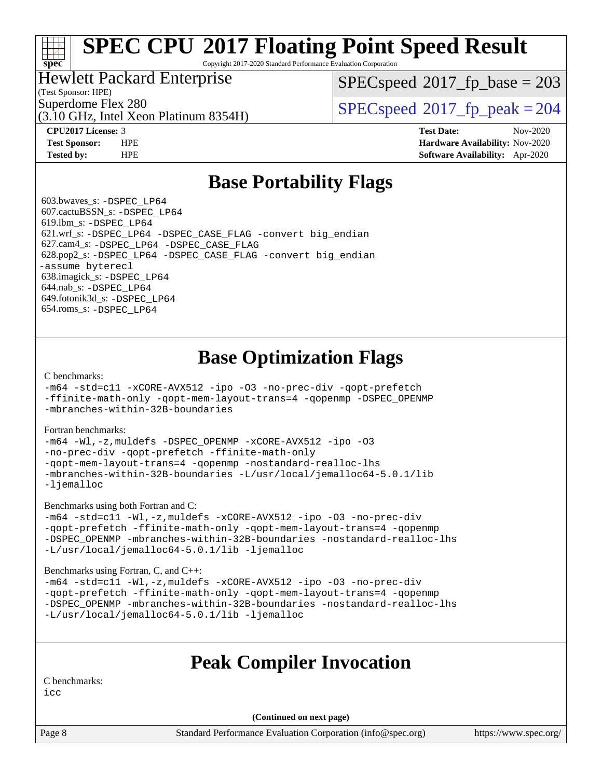Copyright 2017-2020 Standard Performance Evaluation Corporation

#### Hewlett Packard Enterprise

(Test Sponsor: HPE)

**[spec](http://www.spec.org/)**

[SPECspeed](http://www.spec.org/auto/cpu2017/Docs/result-fields.html#SPECspeed2017fpbase)<sup>®</sup>2017 fp base = 203

(3.10 GHz, Intel Xeon Platinum 8354H)

Superdome Flex 280<br>  $SPEC speed^{\circ}2017$  fp\_peak = 204

**[CPU2017 License:](http://www.spec.org/auto/cpu2017/Docs/result-fields.html#CPU2017License)** 3 **[Test Date:](http://www.spec.org/auto/cpu2017/Docs/result-fields.html#TestDate)** Nov-2020 **[Test Sponsor:](http://www.spec.org/auto/cpu2017/Docs/result-fields.html#TestSponsor)** HPE **[Hardware Availability:](http://www.spec.org/auto/cpu2017/Docs/result-fields.html#HardwareAvailability)** Nov-2020 **[Tested by:](http://www.spec.org/auto/cpu2017/Docs/result-fields.html#Testedby)** HPE **[Software Availability:](http://www.spec.org/auto/cpu2017/Docs/result-fields.html#SoftwareAvailability)** Apr-2020

### **[Base Portability Flags](http://www.spec.org/auto/cpu2017/Docs/result-fields.html#BasePortabilityFlags)**

 603.bwaves\_s: [-DSPEC\\_LP64](http://www.spec.org/cpu2017/results/res2020q4/cpu2017-20201207-24502.flags.html#suite_basePORTABILITY603_bwaves_s_DSPEC_LP64) 607.cactuBSSN\_s: [-DSPEC\\_LP64](http://www.spec.org/cpu2017/results/res2020q4/cpu2017-20201207-24502.flags.html#suite_basePORTABILITY607_cactuBSSN_s_DSPEC_LP64) 619.lbm\_s: [-DSPEC\\_LP64](http://www.spec.org/cpu2017/results/res2020q4/cpu2017-20201207-24502.flags.html#suite_basePORTABILITY619_lbm_s_DSPEC_LP64) 621.wrf\_s: [-DSPEC\\_LP64](http://www.spec.org/cpu2017/results/res2020q4/cpu2017-20201207-24502.flags.html#suite_basePORTABILITY621_wrf_s_DSPEC_LP64) [-DSPEC\\_CASE\\_FLAG](http://www.spec.org/cpu2017/results/res2020q4/cpu2017-20201207-24502.flags.html#b621.wrf_s_baseCPORTABILITY_DSPEC_CASE_FLAG) [-convert big\\_endian](http://www.spec.org/cpu2017/results/res2020q4/cpu2017-20201207-24502.flags.html#user_baseFPORTABILITY621_wrf_s_convert_big_endian_c3194028bc08c63ac5d04de18c48ce6d347e4e562e8892b8bdbdc0214820426deb8554edfa529a3fb25a586e65a3d812c835984020483e7e73212c4d31a38223) 627.cam4\_s: [-DSPEC\\_LP64](http://www.spec.org/cpu2017/results/res2020q4/cpu2017-20201207-24502.flags.html#suite_basePORTABILITY627_cam4_s_DSPEC_LP64) [-DSPEC\\_CASE\\_FLAG](http://www.spec.org/cpu2017/results/res2020q4/cpu2017-20201207-24502.flags.html#b627.cam4_s_baseCPORTABILITY_DSPEC_CASE_FLAG) 628.pop2\_s: [-DSPEC\\_LP64](http://www.spec.org/cpu2017/results/res2020q4/cpu2017-20201207-24502.flags.html#suite_basePORTABILITY628_pop2_s_DSPEC_LP64) [-DSPEC\\_CASE\\_FLAG](http://www.spec.org/cpu2017/results/res2020q4/cpu2017-20201207-24502.flags.html#b628.pop2_s_baseCPORTABILITY_DSPEC_CASE_FLAG) [-convert big\\_endian](http://www.spec.org/cpu2017/results/res2020q4/cpu2017-20201207-24502.flags.html#user_baseFPORTABILITY628_pop2_s_convert_big_endian_c3194028bc08c63ac5d04de18c48ce6d347e4e562e8892b8bdbdc0214820426deb8554edfa529a3fb25a586e65a3d812c835984020483e7e73212c4d31a38223) [-assume byterecl](http://www.spec.org/cpu2017/results/res2020q4/cpu2017-20201207-24502.flags.html#user_baseFPORTABILITY628_pop2_s_assume_byterecl_7e47d18b9513cf18525430bbf0f2177aa9bf368bc7a059c09b2c06a34b53bd3447c950d3f8d6c70e3faf3a05c8557d66a5798b567902e8849adc142926523472) 638.imagick\_s: [-DSPEC\\_LP64](http://www.spec.org/cpu2017/results/res2020q4/cpu2017-20201207-24502.flags.html#suite_basePORTABILITY638_imagick_s_DSPEC_LP64) 644.nab\_s: [-DSPEC\\_LP64](http://www.spec.org/cpu2017/results/res2020q4/cpu2017-20201207-24502.flags.html#suite_basePORTABILITY644_nab_s_DSPEC_LP64) 649.fotonik3d\_s: [-DSPEC\\_LP64](http://www.spec.org/cpu2017/results/res2020q4/cpu2017-20201207-24502.flags.html#suite_basePORTABILITY649_fotonik3d_s_DSPEC_LP64) 654.roms\_s: [-DSPEC\\_LP64](http://www.spec.org/cpu2017/results/res2020q4/cpu2017-20201207-24502.flags.html#suite_basePORTABILITY654_roms_s_DSPEC_LP64)

### **[Base Optimization Flags](http://www.spec.org/auto/cpu2017/Docs/result-fields.html#BaseOptimizationFlags)**

[C benchmarks](http://www.spec.org/auto/cpu2017/Docs/result-fields.html#Cbenchmarks):

[-m64](http://www.spec.org/cpu2017/results/res2020q4/cpu2017-20201207-24502.flags.html#user_CCbase_m64-icc) [-std=c11](http://www.spec.org/cpu2017/results/res2020q4/cpu2017-20201207-24502.flags.html#user_CCbase_std-icc-std_0e1c27790398a4642dfca32ffe6c27b5796f9c2d2676156f2e42c9c44eaad0c049b1cdb667a270c34d979996257aeb8fc440bfb01818dbc9357bd9d174cb8524) [-xCORE-AVX512](http://www.spec.org/cpu2017/results/res2020q4/cpu2017-20201207-24502.flags.html#user_CCbase_f-xCORE-AVX512) [-ipo](http://www.spec.org/cpu2017/results/res2020q4/cpu2017-20201207-24502.flags.html#user_CCbase_f-ipo) [-O3](http://www.spec.org/cpu2017/results/res2020q4/cpu2017-20201207-24502.flags.html#user_CCbase_f-O3) [-no-prec-div](http://www.spec.org/cpu2017/results/res2020q4/cpu2017-20201207-24502.flags.html#user_CCbase_f-no-prec-div) [-qopt-prefetch](http://www.spec.org/cpu2017/results/res2020q4/cpu2017-20201207-24502.flags.html#user_CCbase_f-qopt-prefetch) [-ffinite-math-only](http://www.spec.org/cpu2017/results/res2020q4/cpu2017-20201207-24502.flags.html#user_CCbase_f_finite_math_only_cb91587bd2077682c4b38af759c288ed7c732db004271a9512da14a4f8007909a5f1427ecbf1a0fb78ff2a814402c6114ac565ca162485bbcae155b5e4258871) [-qopt-mem-layout-trans=4](http://www.spec.org/cpu2017/results/res2020q4/cpu2017-20201207-24502.flags.html#user_CCbase_f-qopt-mem-layout-trans_fa39e755916c150a61361b7846f310bcdf6f04e385ef281cadf3647acec3f0ae266d1a1d22d972a7087a248fd4e6ca390a3634700869573d231a252c784941a8) [-qopenmp](http://www.spec.org/cpu2017/results/res2020q4/cpu2017-20201207-24502.flags.html#user_CCbase_qopenmp_16be0c44f24f464004c6784a7acb94aca937f053568ce72f94b139a11c7c168634a55f6653758ddd83bcf7b8463e8028bb0b48b77bcddc6b78d5d95bb1df2967) [-DSPEC\\_OPENMP](http://www.spec.org/cpu2017/results/res2020q4/cpu2017-20201207-24502.flags.html#suite_CCbase_DSPEC_OPENMP) [-mbranches-within-32B-boundaries](http://www.spec.org/cpu2017/results/res2020q4/cpu2017-20201207-24502.flags.html#user_CCbase_f-mbranches-within-32B-boundaries)

[Fortran benchmarks](http://www.spec.org/auto/cpu2017/Docs/result-fields.html#Fortranbenchmarks):

[-m64](http://www.spec.org/cpu2017/results/res2020q4/cpu2017-20201207-24502.flags.html#user_FCbase_m64-icc) [-Wl,-z,muldefs](http://www.spec.org/cpu2017/results/res2020q4/cpu2017-20201207-24502.flags.html#user_FCbase_link_force_multiple1_b4cbdb97b34bdee9ceefcfe54f4c8ea74255f0b02a4b23e853cdb0e18eb4525ac79b5a88067c842dd0ee6996c24547a27a4b99331201badda8798ef8a743f577) [-DSPEC\\_OPENMP](http://www.spec.org/cpu2017/results/res2020q4/cpu2017-20201207-24502.flags.html#suite_FCbase_DSPEC_OPENMP) [-xCORE-AVX512](http://www.spec.org/cpu2017/results/res2020q4/cpu2017-20201207-24502.flags.html#user_FCbase_f-xCORE-AVX512) [-ipo](http://www.spec.org/cpu2017/results/res2020q4/cpu2017-20201207-24502.flags.html#user_FCbase_f-ipo) [-O3](http://www.spec.org/cpu2017/results/res2020q4/cpu2017-20201207-24502.flags.html#user_FCbase_f-O3) [-no-prec-div](http://www.spec.org/cpu2017/results/res2020q4/cpu2017-20201207-24502.flags.html#user_FCbase_f-no-prec-div) [-qopt-prefetch](http://www.spec.org/cpu2017/results/res2020q4/cpu2017-20201207-24502.flags.html#user_FCbase_f-qopt-prefetch) [-ffinite-math-only](http://www.spec.org/cpu2017/results/res2020q4/cpu2017-20201207-24502.flags.html#user_FCbase_f_finite_math_only_cb91587bd2077682c4b38af759c288ed7c732db004271a9512da14a4f8007909a5f1427ecbf1a0fb78ff2a814402c6114ac565ca162485bbcae155b5e4258871) [-qopt-mem-layout-trans=4](http://www.spec.org/cpu2017/results/res2020q4/cpu2017-20201207-24502.flags.html#user_FCbase_f-qopt-mem-layout-trans_fa39e755916c150a61361b7846f310bcdf6f04e385ef281cadf3647acec3f0ae266d1a1d22d972a7087a248fd4e6ca390a3634700869573d231a252c784941a8) [-qopenmp](http://www.spec.org/cpu2017/results/res2020q4/cpu2017-20201207-24502.flags.html#user_FCbase_qopenmp_16be0c44f24f464004c6784a7acb94aca937f053568ce72f94b139a11c7c168634a55f6653758ddd83bcf7b8463e8028bb0b48b77bcddc6b78d5d95bb1df2967) [-nostandard-realloc-lhs](http://www.spec.org/cpu2017/results/res2020q4/cpu2017-20201207-24502.flags.html#user_FCbase_f_2003_std_realloc_82b4557e90729c0f113870c07e44d33d6f5a304b4f63d4c15d2d0f1fab99f5daaed73bdb9275d9ae411527f28b936061aa8b9c8f2d63842963b95c9dd6426b8a) [-mbranches-within-32B-boundaries](http://www.spec.org/cpu2017/results/res2020q4/cpu2017-20201207-24502.flags.html#user_FCbase_f-mbranches-within-32B-boundaries) [-L/usr/local/jemalloc64-5.0.1/lib](http://www.spec.org/cpu2017/results/res2020q4/cpu2017-20201207-24502.flags.html#user_FCbase_jemalloc_link_path64_1_cc289568b1a6c0fd3b62c91b824c27fcb5af5e8098e6ad028160d21144ef1b8aef3170d2acf0bee98a8da324cfe4f67d0a3d0c4cc4673d993d694dc2a0df248b) [-ljemalloc](http://www.spec.org/cpu2017/results/res2020q4/cpu2017-20201207-24502.flags.html#user_FCbase_jemalloc_link_lib_d1249b907c500fa1c0672f44f562e3d0f79738ae9e3c4a9c376d49f265a04b9c99b167ecedbf6711b3085be911c67ff61f150a17b3472be731631ba4d0471706)

[Benchmarks using both Fortran and C](http://www.spec.org/auto/cpu2017/Docs/result-fields.html#BenchmarksusingbothFortranandC):

[-m64](http://www.spec.org/cpu2017/results/res2020q4/cpu2017-20201207-24502.flags.html#user_CC_FCbase_m64-icc) [-std=c11](http://www.spec.org/cpu2017/results/res2020q4/cpu2017-20201207-24502.flags.html#user_CC_FCbase_std-icc-std_0e1c27790398a4642dfca32ffe6c27b5796f9c2d2676156f2e42c9c44eaad0c049b1cdb667a270c34d979996257aeb8fc440bfb01818dbc9357bd9d174cb8524) [-Wl,-z,muldefs](http://www.spec.org/cpu2017/results/res2020q4/cpu2017-20201207-24502.flags.html#user_CC_FCbase_link_force_multiple1_b4cbdb97b34bdee9ceefcfe54f4c8ea74255f0b02a4b23e853cdb0e18eb4525ac79b5a88067c842dd0ee6996c24547a27a4b99331201badda8798ef8a743f577) [-xCORE-AVX512](http://www.spec.org/cpu2017/results/res2020q4/cpu2017-20201207-24502.flags.html#user_CC_FCbase_f-xCORE-AVX512) [-ipo](http://www.spec.org/cpu2017/results/res2020q4/cpu2017-20201207-24502.flags.html#user_CC_FCbase_f-ipo) [-O3](http://www.spec.org/cpu2017/results/res2020q4/cpu2017-20201207-24502.flags.html#user_CC_FCbase_f-O3) [-no-prec-div](http://www.spec.org/cpu2017/results/res2020q4/cpu2017-20201207-24502.flags.html#user_CC_FCbase_f-no-prec-div) [-qopt-prefetch](http://www.spec.org/cpu2017/results/res2020q4/cpu2017-20201207-24502.flags.html#user_CC_FCbase_f-qopt-prefetch) [-ffinite-math-only](http://www.spec.org/cpu2017/results/res2020q4/cpu2017-20201207-24502.flags.html#user_CC_FCbase_f_finite_math_only_cb91587bd2077682c4b38af759c288ed7c732db004271a9512da14a4f8007909a5f1427ecbf1a0fb78ff2a814402c6114ac565ca162485bbcae155b5e4258871) [-qopt-mem-layout-trans=4](http://www.spec.org/cpu2017/results/res2020q4/cpu2017-20201207-24502.flags.html#user_CC_FCbase_f-qopt-mem-layout-trans_fa39e755916c150a61361b7846f310bcdf6f04e385ef281cadf3647acec3f0ae266d1a1d22d972a7087a248fd4e6ca390a3634700869573d231a252c784941a8) [-qopenmp](http://www.spec.org/cpu2017/results/res2020q4/cpu2017-20201207-24502.flags.html#user_CC_FCbase_qopenmp_16be0c44f24f464004c6784a7acb94aca937f053568ce72f94b139a11c7c168634a55f6653758ddd83bcf7b8463e8028bb0b48b77bcddc6b78d5d95bb1df2967) [-DSPEC\\_OPENMP](http://www.spec.org/cpu2017/results/res2020q4/cpu2017-20201207-24502.flags.html#suite_CC_FCbase_DSPEC_OPENMP) [-mbranches-within-32B-boundaries](http://www.spec.org/cpu2017/results/res2020q4/cpu2017-20201207-24502.flags.html#user_CC_FCbase_f-mbranches-within-32B-boundaries) [-nostandard-realloc-lhs](http://www.spec.org/cpu2017/results/res2020q4/cpu2017-20201207-24502.flags.html#user_CC_FCbase_f_2003_std_realloc_82b4557e90729c0f113870c07e44d33d6f5a304b4f63d4c15d2d0f1fab99f5daaed73bdb9275d9ae411527f28b936061aa8b9c8f2d63842963b95c9dd6426b8a) [-L/usr/local/jemalloc64-5.0.1/lib](http://www.spec.org/cpu2017/results/res2020q4/cpu2017-20201207-24502.flags.html#user_CC_FCbase_jemalloc_link_path64_1_cc289568b1a6c0fd3b62c91b824c27fcb5af5e8098e6ad028160d21144ef1b8aef3170d2acf0bee98a8da324cfe4f67d0a3d0c4cc4673d993d694dc2a0df248b) [-ljemalloc](http://www.spec.org/cpu2017/results/res2020q4/cpu2017-20201207-24502.flags.html#user_CC_FCbase_jemalloc_link_lib_d1249b907c500fa1c0672f44f562e3d0f79738ae9e3c4a9c376d49f265a04b9c99b167ecedbf6711b3085be911c67ff61f150a17b3472be731631ba4d0471706)

[Benchmarks using Fortran, C, and C++:](http://www.spec.org/auto/cpu2017/Docs/result-fields.html#BenchmarksusingFortranCandCXX)

[-m64](http://www.spec.org/cpu2017/results/res2020q4/cpu2017-20201207-24502.flags.html#user_CC_CXX_FCbase_m64-icc) [-std=c11](http://www.spec.org/cpu2017/results/res2020q4/cpu2017-20201207-24502.flags.html#user_CC_CXX_FCbase_std-icc-std_0e1c27790398a4642dfca32ffe6c27b5796f9c2d2676156f2e42c9c44eaad0c049b1cdb667a270c34d979996257aeb8fc440bfb01818dbc9357bd9d174cb8524) [-Wl,-z,muldefs](http://www.spec.org/cpu2017/results/res2020q4/cpu2017-20201207-24502.flags.html#user_CC_CXX_FCbase_link_force_multiple1_b4cbdb97b34bdee9ceefcfe54f4c8ea74255f0b02a4b23e853cdb0e18eb4525ac79b5a88067c842dd0ee6996c24547a27a4b99331201badda8798ef8a743f577) [-xCORE-AVX512](http://www.spec.org/cpu2017/results/res2020q4/cpu2017-20201207-24502.flags.html#user_CC_CXX_FCbase_f-xCORE-AVX512) [-ipo](http://www.spec.org/cpu2017/results/res2020q4/cpu2017-20201207-24502.flags.html#user_CC_CXX_FCbase_f-ipo) [-O3](http://www.spec.org/cpu2017/results/res2020q4/cpu2017-20201207-24502.flags.html#user_CC_CXX_FCbase_f-O3) [-no-prec-div](http://www.spec.org/cpu2017/results/res2020q4/cpu2017-20201207-24502.flags.html#user_CC_CXX_FCbase_f-no-prec-div) [-qopt-prefetch](http://www.spec.org/cpu2017/results/res2020q4/cpu2017-20201207-24502.flags.html#user_CC_CXX_FCbase_f-qopt-prefetch) [-ffinite-math-only](http://www.spec.org/cpu2017/results/res2020q4/cpu2017-20201207-24502.flags.html#user_CC_CXX_FCbase_f_finite_math_only_cb91587bd2077682c4b38af759c288ed7c732db004271a9512da14a4f8007909a5f1427ecbf1a0fb78ff2a814402c6114ac565ca162485bbcae155b5e4258871) [-qopt-mem-layout-trans=4](http://www.spec.org/cpu2017/results/res2020q4/cpu2017-20201207-24502.flags.html#user_CC_CXX_FCbase_f-qopt-mem-layout-trans_fa39e755916c150a61361b7846f310bcdf6f04e385ef281cadf3647acec3f0ae266d1a1d22d972a7087a248fd4e6ca390a3634700869573d231a252c784941a8) [-qopenmp](http://www.spec.org/cpu2017/results/res2020q4/cpu2017-20201207-24502.flags.html#user_CC_CXX_FCbase_qopenmp_16be0c44f24f464004c6784a7acb94aca937f053568ce72f94b139a11c7c168634a55f6653758ddd83bcf7b8463e8028bb0b48b77bcddc6b78d5d95bb1df2967) [-DSPEC\\_OPENMP](http://www.spec.org/cpu2017/results/res2020q4/cpu2017-20201207-24502.flags.html#suite_CC_CXX_FCbase_DSPEC_OPENMP) [-mbranches-within-32B-boundaries](http://www.spec.org/cpu2017/results/res2020q4/cpu2017-20201207-24502.flags.html#user_CC_CXX_FCbase_f-mbranches-within-32B-boundaries) [-nostandard-realloc-lhs](http://www.spec.org/cpu2017/results/res2020q4/cpu2017-20201207-24502.flags.html#user_CC_CXX_FCbase_f_2003_std_realloc_82b4557e90729c0f113870c07e44d33d6f5a304b4f63d4c15d2d0f1fab99f5daaed73bdb9275d9ae411527f28b936061aa8b9c8f2d63842963b95c9dd6426b8a) [-L/usr/local/jemalloc64-5.0.1/lib](http://www.spec.org/cpu2017/results/res2020q4/cpu2017-20201207-24502.flags.html#user_CC_CXX_FCbase_jemalloc_link_path64_1_cc289568b1a6c0fd3b62c91b824c27fcb5af5e8098e6ad028160d21144ef1b8aef3170d2acf0bee98a8da324cfe4f67d0a3d0c4cc4673d993d694dc2a0df248b) [-ljemalloc](http://www.spec.org/cpu2017/results/res2020q4/cpu2017-20201207-24502.flags.html#user_CC_CXX_FCbase_jemalloc_link_lib_d1249b907c500fa1c0672f44f562e3d0f79738ae9e3c4a9c376d49f265a04b9c99b167ecedbf6711b3085be911c67ff61f150a17b3472be731631ba4d0471706)

### **[Peak Compiler Invocation](http://www.spec.org/auto/cpu2017/Docs/result-fields.html#PeakCompilerInvocation)**

[C benchmarks:](http://www.spec.org/auto/cpu2017/Docs/result-fields.html#Cbenchmarks)

[icc](http://www.spec.org/cpu2017/results/res2020q4/cpu2017-20201207-24502.flags.html#user_CCpeak_intel_icc_66fc1ee009f7361af1fbd72ca7dcefbb700085f36577c54f309893dd4ec40d12360134090235512931783d35fd58c0460139e722d5067c5574d8eaf2b3e37e92)

**(Continued on next page)**

Page 8 Standard Performance Evaluation Corporation [\(info@spec.org\)](mailto:info@spec.org) <https://www.spec.org/>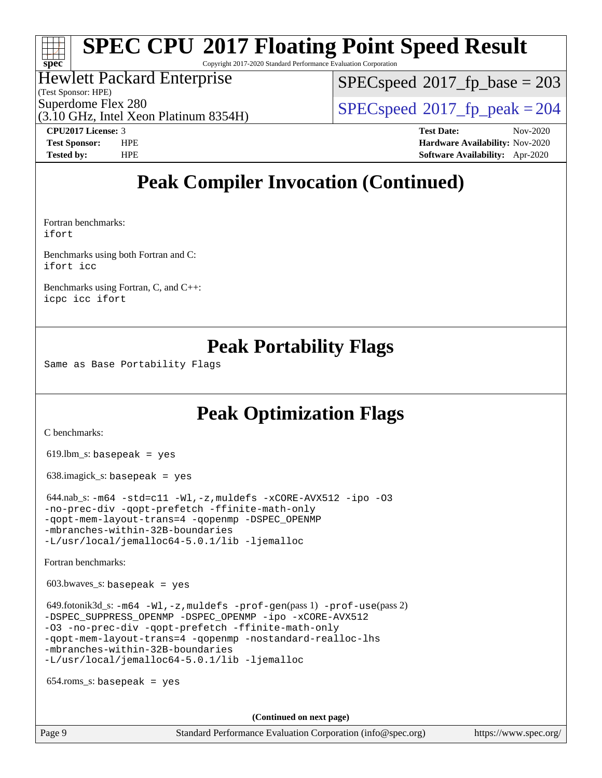Copyright 2017-2020 Standard Performance Evaluation Corporation

#### Hewlett Packard Enterprise

(Test Sponsor: HPE)

[SPECspeed](http://www.spec.org/auto/cpu2017/Docs/result-fields.html#SPECspeed2017fpbase)<sup>®</sup>2017 fp base = 203

(3.10 GHz, Intel Xeon Platinum 8354H)

Superdome Flex 280<br>  $SPEC speed^{\circ}2017$  fp\_peak = 204

**[spec](http://www.spec.org/)**

**[CPU2017 License:](http://www.spec.org/auto/cpu2017/Docs/result-fields.html#CPU2017License)** 3 **[Test Date:](http://www.spec.org/auto/cpu2017/Docs/result-fields.html#TestDate)** Nov-2020 **[Test Sponsor:](http://www.spec.org/auto/cpu2017/Docs/result-fields.html#TestSponsor)** HPE **[Hardware Availability:](http://www.spec.org/auto/cpu2017/Docs/result-fields.html#HardwareAvailability)** Nov-2020 **[Tested by:](http://www.spec.org/auto/cpu2017/Docs/result-fields.html#Testedby)** HPE **[Software Availability:](http://www.spec.org/auto/cpu2017/Docs/result-fields.html#SoftwareAvailability)** Apr-2020

### **[Peak Compiler Invocation \(Continued\)](http://www.spec.org/auto/cpu2017/Docs/result-fields.html#PeakCompilerInvocation)**

[Fortran benchmarks:](http://www.spec.org/auto/cpu2017/Docs/result-fields.html#Fortranbenchmarks) [ifort](http://www.spec.org/cpu2017/results/res2020q4/cpu2017-20201207-24502.flags.html#user_FCpeak_intel_ifort_8111460550e3ca792625aed983ce982f94888b8b503583aa7ba2b8303487b4d8a21a13e7191a45c5fd58ff318f48f9492884d4413fa793fd88dd292cad7027ca)

[Benchmarks using both Fortran and C:](http://www.spec.org/auto/cpu2017/Docs/result-fields.html#BenchmarksusingbothFortranandC) [ifort](http://www.spec.org/cpu2017/results/res2020q4/cpu2017-20201207-24502.flags.html#user_CC_FCpeak_intel_ifort_8111460550e3ca792625aed983ce982f94888b8b503583aa7ba2b8303487b4d8a21a13e7191a45c5fd58ff318f48f9492884d4413fa793fd88dd292cad7027ca) [icc](http://www.spec.org/cpu2017/results/res2020q4/cpu2017-20201207-24502.flags.html#user_CC_FCpeak_intel_icc_66fc1ee009f7361af1fbd72ca7dcefbb700085f36577c54f309893dd4ec40d12360134090235512931783d35fd58c0460139e722d5067c5574d8eaf2b3e37e92)

[Benchmarks using Fortran, C, and C++](http://www.spec.org/auto/cpu2017/Docs/result-fields.html#BenchmarksusingFortranCandCXX): [icpc](http://www.spec.org/cpu2017/results/res2020q4/cpu2017-20201207-24502.flags.html#user_CC_CXX_FCpeak_intel_icpc_c510b6838c7f56d33e37e94d029a35b4a7bccf4766a728ee175e80a419847e808290a9b78be685c44ab727ea267ec2f070ec5dc83b407c0218cded6866a35d07) [icc](http://www.spec.org/cpu2017/results/res2020q4/cpu2017-20201207-24502.flags.html#user_CC_CXX_FCpeak_intel_icc_66fc1ee009f7361af1fbd72ca7dcefbb700085f36577c54f309893dd4ec40d12360134090235512931783d35fd58c0460139e722d5067c5574d8eaf2b3e37e92) [ifort](http://www.spec.org/cpu2017/results/res2020q4/cpu2017-20201207-24502.flags.html#user_CC_CXX_FCpeak_intel_ifort_8111460550e3ca792625aed983ce982f94888b8b503583aa7ba2b8303487b4d8a21a13e7191a45c5fd58ff318f48f9492884d4413fa793fd88dd292cad7027ca)

### **[Peak Portability Flags](http://www.spec.org/auto/cpu2017/Docs/result-fields.html#PeakPortabilityFlags)**

Same as Base Portability Flags

### **[Peak Optimization Flags](http://www.spec.org/auto/cpu2017/Docs/result-fields.html#PeakOptimizationFlags)**

[C benchmarks](http://www.spec.org/auto/cpu2017/Docs/result-fields.html#Cbenchmarks):

619.lbm\_s: basepeak = yes

638.imagick\_s: basepeak = yes

 $644.nab$ \_s:  $-m64$   $-std= c11$   $-Wl$ ,  $-z$ , muldefs  $-xCORE-AVX512$   $-ipo$   $-03$ [-no-prec-div](http://www.spec.org/cpu2017/results/res2020q4/cpu2017-20201207-24502.flags.html#user_peakCOPTIMIZE644_nab_s_f-no-prec-div) [-qopt-prefetch](http://www.spec.org/cpu2017/results/res2020q4/cpu2017-20201207-24502.flags.html#user_peakCOPTIMIZE644_nab_s_f-qopt-prefetch) [-ffinite-math-only](http://www.spec.org/cpu2017/results/res2020q4/cpu2017-20201207-24502.flags.html#user_peakCOPTIMIZE644_nab_s_f_finite_math_only_cb91587bd2077682c4b38af759c288ed7c732db004271a9512da14a4f8007909a5f1427ecbf1a0fb78ff2a814402c6114ac565ca162485bbcae155b5e4258871) [-qopt-mem-layout-trans=4](http://www.spec.org/cpu2017/results/res2020q4/cpu2017-20201207-24502.flags.html#user_peakCOPTIMIZE644_nab_s_f-qopt-mem-layout-trans_fa39e755916c150a61361b7846f310bcdf6f04e385ef281cadf3647acec3f0ae266d1a1d22d972a7087a248fd4e6ca390a3634700869573d231a252c784941a8) [-qopenmp](http://www.spec.org/cpu2017/results/res2020q4/cpu2017-20201207-24502.flags.html#user_peakCOPTIMIZE644_nab_s_qopenmp_16be0c44f24f464004c6784a7acb94aca937f053568ce72f94b139a11c7c168634a55f6653758ddd83bcf7b8463e8028bb0b48b77bcddc6b78d5d95bb1df2967) [-DSPEC\\_OPENMP](http://www.spec.org/cpu2017/results/res2020q4/cpu2017-20201207-24502.flags.html#suite_peakCOPTIMIZE644_nab_s_DSPEC_OPENMP) [-mbranches-within-32B-boundaries](http://www.spec.org/cpu2017/results/res2020q4/cpu2017-20201207-24502.flags.html#user_peakEXTRA_COPTIMIZE644_nab_s_f-mbranches-within-32B-boundaries) [-L/usr/local/jemalloc64-5.0.1/lib](http://www.spec.org/cpu2017/results/res2020q4/cpu2017-20201207-24502.flags.html#user_peakEXTRA_LIBS644_nab_s_jemalloc_link_path64_1_cc289568b1a6c0fd3b62c91b824c27fcb5af5e8098e6ad028160d21144ef1b8aef3170d2acf0bee98a8da324cfe4f67d0a3d0c4cc4673d993d694dc2a0df248b) [-ljemalloc](http://www.spec.org/cpu2017/results/res2020q4/cpu2017-20201207-24502.flags.html#user_peakEXTRA_LIBS644_nab_s_jemalloc_link_lib_d1249b907c500fa1c0672f44f562e3d0f79738ae9e3c4a9c376d49f265a04b9c99b167ecedbf6711b3085be911c67ff61f150a17b3472be731631ba4d0471706)

[Fortran benchmarks](http://www.spec.org/auto/cpu2017/Docs/result-fields.html#Fortranbenchmarks):

603.bwaves\_s: basepeak = yes

 $649.60$ tonik3d\_s:  $-m64 -Wl$  $-m64 -Wl$ ,  $-z$ , muldefs  $-prof-qen(pass 1)$   $-prof-use(pass 2)$  $-prof-use(pass 2)$ [-DSPEC\\_SUPPRESS\\_OPENMP](http://www.spec.org/cpu2017/results/res2020q4/cpu2017-20201207-24502.flags.html#suite_peakPASS1_FOPTIMIZE649_fotonik3d_s_DSPEC_SUPPRESS_OPENMP) [-DSPEC\\_OPENMP](http://www.spec.org/cpu2017/results/res2020q4/cpu2017-20201207-24502.flags.html#suite_peakPASS2_FOPTIMIZE649_fotonik3d_s_DSPEC_OPENMP) [-ipo](http://www.spec.org/cpu2017/results/res2020q4/cpu2017-20201207-24502.flags.html#user_peakPASS1_FOPTIMIZEPASS2_FOPTIMIZE649_fotonik3d_s_f-ipo) [-xCORE-AVX512](http://www.spec.org/cpu2017/results/res2020q4/cpu2017-20201207-24502.flags.html#user_peakPASS2_FOPTIMIZE649_fotonik3d_s_f-xCORE-AVX512) [-O3](http://www.spec.org/cpu2017/results/res2020q4/cpu2017-20201207-24502.flags.html#user_peakPASS1_FOPTIMIZEPASS2_FOPTIMIZE649_fotonik3d_s_f-O3) [-no-prec-div](http://www.spec.org/cpu2017/results/res2020q4/cpu2017-20201207-24502.flags.html#user_peakPASS1_FOPTIMIZEPASS2_FOPTIMIZE649_fotonik3d_s_f-no-prec-div) [-qopt-prefetch](http://www.spec.org/cpu2017/results/res2020q4/cpu2017-20201207-24502.flags.html#user_peakPASS1_FOPTIMIZEPASS2_FOPTIMIZE649_fotonik3d_s_f-qopt-prefetch) [-ffinite-math-only](http://www.spec.org/cpu2017/results/res2020q4/cpu2017-20201207-24502.flags.html#user_peakPASS1_FOPTIMIZEPASS2_FOPTIMIZE649_fotonik3d_s_f_finite_math_only_cb91587bd2077682c4b38af759c288ed7c732db004271a9512da14a4f8007909a5f1427ecbf1a0fb78ff2a814402c6114ac565ca162485bbcae155b5e4258871) [-qopt-mem-layout-trans=4](http://www.spec.org/cpu2017/results/res2020q4/cpu2017-20201207-24502.flags.html#user_peakPASS1_FOPTIMIZEPASS2_FOPTIMIZE649_fotonik3d_s_f-qopt-mem-layout-trans_fa39e755916c150a61361b7846f310bcdf6f04e385ef281cadf3647acec3f0ae266d1a1d22d972a7087a248fd4e6ca390a3634700869573d231a252c784941a8) [-qopenmp](http://www.spec.org/cpu2017/results/res2020q4/cpu2017-20201207-24502.flags.html#user_peakPASS2_FOPTIMIZE649_fotonik3d_s_qopenmp_16be0c44f24f464004c6784a7acb94aca937f053568ce72f94b139a11c7c168634a55f6653758ddd83bcf7b8463e8028bb0b48b77bcddc6b78d5d95bb1df2967) [-nostandard-realloc-lhs](http://www.spec.org/cpu2017/results/res2020q4/cpu2017-20201207-24502.flags.html#user_peakEXTRA_FOPTIMIZE649_fotonik3d_s_f_2003_std_realloc_82b4557e90729c0f113870c07e44d33d6f5a304b4f63d4c15d2d0f1fab99f5daaed73bdb9275d9ae411527f28b936061aa8b9c8f2d63842963b95c9dd6426b8a) [-mbranches-within-32B-boundaries](http://www.spec.org/cpu2017/results/res2020q4/cpu2017-20201207-24502.flags.html#user_peakEXTRA_FOPTIMIZE649_fotonik3d_s_f-mbranches-within-32B-boundaries) [-L/usr/local/jemalloc64-5.0.1/lib](http://www.spec.org/cpu2017/results/res2020q4/cpu2017-20201207-24502.flags.html#user_peakEXTRA_LIBS649_fotonik3d_s_jemalloc_link_path64_1_cc289568b1a6c0fd3b62c91b824c27fcb5af5e8098e6ad028160d21144ef1b8aef3170d2acf0bee98a8da324cfe4f67d0a3d0c4cc4673d993d694dc2a0df248b) [-ljemalloc](http://www.spec.org/cpu2017/results/res2020q4/cpu2017-20201207-24502.flags.html#user_peakEXTRA_LIBS649_fotonik3d_s_jemalloc_link_lib_d1249b907c500fa1c0672f44f562e3d0f79738ae9e3c4a9c376d49f265a04b9c99b167ecedbf6711b3085be911c67ff61f150a17b3472be731631ba4d0471706)

654.roms\_s: basepeak = yes

**(Continued on next page)**